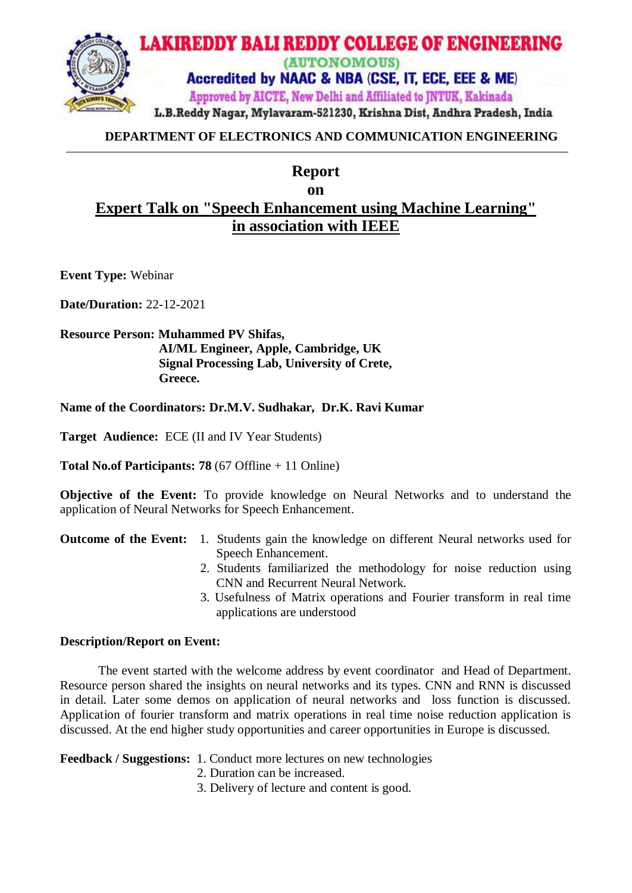

## **DEPARTMENT OF ELECTRONICS AND COMMUNICATION ENGINEERING**

# **Report on Expert Talk on "Speech Enhancement using Machine Learning" in association with IEEE**

**Event Type:** Webinar

**Date/Duration:** 22-12-2021

## **Resource Person: Muhammed PV Shifas, AI/ML Engineer, Apple, Cambridge, UK Signal Processing Lab, University of Crete, Greece.**

**Name of the Coordinators: Dr.M.V. Sudhakar, Dr.K. Ravi Kumar**

**Target Audience:** ECE (II and IV Year Students)

**Total No.of Participants: 78** (67 Offline + 11 Online)

**Objective of the Event:** To provide knowledge on Neural Networks and to understand the application of Neural Networks for Speech Enhancement.

#### **Outcome of the Event:** 1. Students gain the knowledge on different Neural networks used for Speech Enhancement.

- 2. Students familiarized the methodology for noise reduction using CNN and Recurrent Neural Network.
- 3. Usefulness of Matrix operations and Fourier transform in real time applications are understood

#### **Description/Report on Event:**

The event started with the welcome address by event coordinator and Head of Department. Resource person shared the insights on neural networks and its types. CNN and RNN is discussed in detail. Later some demos on application of neural networks and loss function is discussed. Application of fourier transform and matrix operations in real time noise reduction application is discussed. At the end higher study opportunities and career opportunities in Europe is discussed.

## **Feedback / Suggestions:** 1. Conduct more lectures on new technologies

- 2. Duration can be increased.
- 3. Delivery of lecture and content is good.